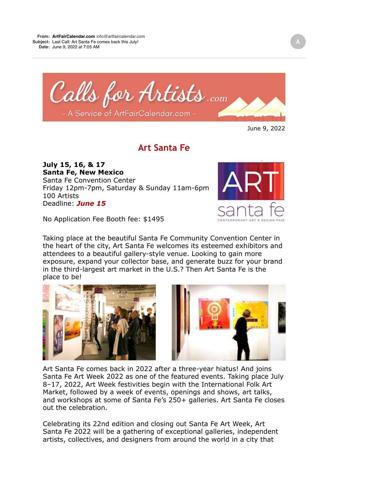

## June 9, 2022

## **Art Santa Fe**

**July 15, 16, & 17 Santa Fe, New Mexico** Santa Fe Convention Center Friday 12pm-7pm, Saturday & Sunday 11am-6pm 100 Artists Deadline: *June 15*

No Application Fee Booth fee: \$1495

Taking place at the beautiful Santa Fe Community Convention Center in the heart of the city, Art Santa Fe welcomes its esteemed exhibitors and attendees to a beautiful gallery-style venue. Looking to gain more exposure, expand your collector base, and generate buzz for your brand in the third-largest art market in the U.S.? Then Art Santa Fe is the place to be!





Art Santa Fe comes back in 2022 after a three-year hiatus! And joins Santa Fe Art Week 2022 as one of the featured events. Taking place July 8–17, 2022, Art Week festivities begin with the International Folk Art Market, followed by a week of events, openings and shows, art talks, and workshops at some of Santa Fe's 250+ galleries. Art Santa Fe closes out the celebration.

Celebrating its 22nd edition and closing out Santa Fe Art Week, Art Santa Fe 2022 will be a gathering of exceptional galleries, independent artists, collectives, and designers from around the world in a city that